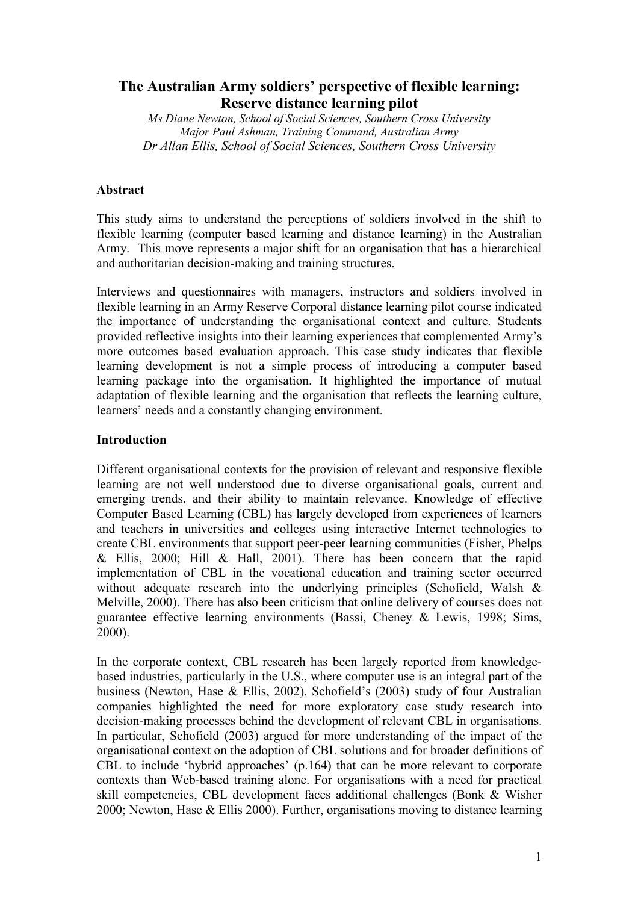# **The Australian Army soldiers' perspective of flexible learning: Reserve distance learning pilot**

*Ms Diane Newton, School of Social Sciences, Southern Cross University Major Paul Ashman, Training Command, Australian Army Dr Allan Ellis, School of Social Sciences, Southern Cross University*

# **Abstract**

This study aims to understand the perceptions of soldiers involved in the shift to flexible learning (computer based learning and distance learning) in the Australian Army. This move represents a major shift for an organisation that has a hierarchical and authoritarian decision-making and training structures.

Interviews and questionnaires with managers, instructors and soldiers involved in flexible learning in an Army Reserve Corporal distance learning pilot course indicated the importance of understanding the organisational context and culture. Students provided reflective insights into their learning experiences that complemented Army's more outcomes based evaluation approach. This case study indicates that flexible learning development is not a simple process of introducing a computer based learning package into the organisation. It highlighted the importance of mutual adaptation of flexible learning and the organisation that reflects the learning culture, learners' needs and a constantly changing environment.

#### **Introduction**

Different organisational contexts for the provision of relevant and responsive flexible learning are not well understood due to diverse organisational goals, current and emerging trends, and their ability to maintain relevance. Knowledge of effective Computer Based Learning (CBL) has largely developed from experiences of learners and teachers in universities and colleges using interactive Internet technologies to create CBL environments that support peer-peer learning communities (Fisher, Phelps & Ellis, 2000; Hill & Hall, 2001). There has been concern that the rapid implementation of CBL in the vocational education and training sector occurred without adequate research into the underlying principles (Schofield, Walsh & Melville, 2000). There has also been criticism that online delivery of courses does not guarantee effective learning environments (Bassi, Cheney & Lewis, 1998; Sims, 2000).

In the corporate context, CBL research has been largely reported from knowledgebased industries, particularly in the U.S., where computer use is an integral part of the business (Newton, Hase & Ellis, 2002). Schofield's (2003) study of four Australian companies highlighted the need for more exploratory case study research into decision-making processes behind the development of relevant CBL in organisations. In particular, Schofield (2003) argued for more understanding of the impact of the organisational context on the adoption of CBL solutions and for broader definitions of CBL to include 'hybrid approaches' (p.164) that can be more relevant to corporate contexts than Web-based training alone. For organisations with a need for practical skill competencies, CBL development faces additional challenges (Bonk & Wisher 2000; Newton, Hase & Ellis 2000). Further, organisations moving to distance learning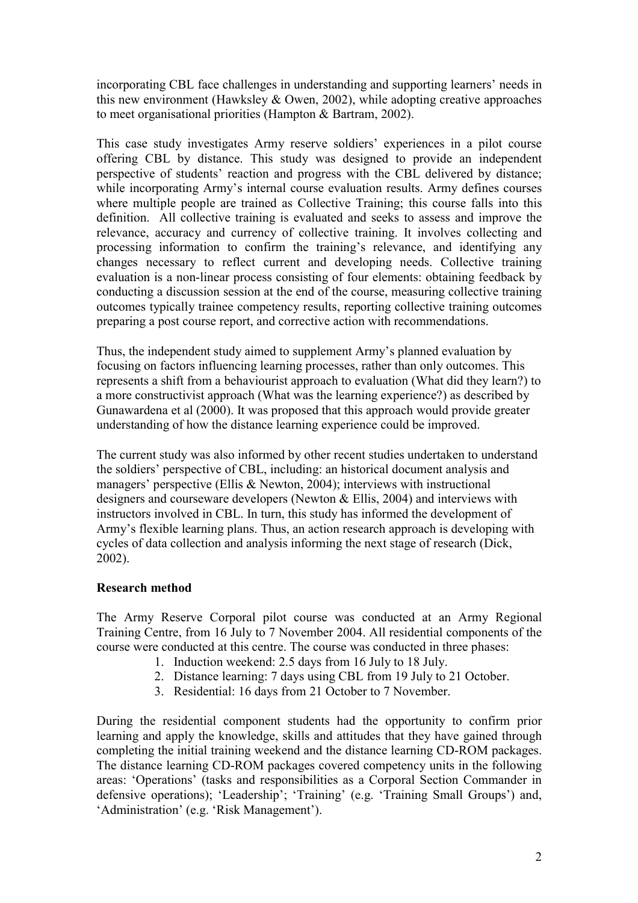incorporating CBL face challenges in understanding and supporting learners' needs in this new environment (Hawksley & Owen, 2002), while adopting creative approaches to meet organisational priorities (Hampton & Bartram, 2002).

This case study investigates Army reserve soldiers' experiences in a pilot course offering CBL by distance. This study was designed to provide an independent perspective of students' reaction and progress with the CBL delivered by distance; while incorporating Army's internal course evaluation results. Army defines courses where multiple people are trained as Collective Training; this course falls into this definition. All collective training is evaluated and seeks to assess and improve the relevance, accuracy and currency of collective training. It involves collecting and processing information to confirm the training's relevance, and identifying any changes necessary to reflect current and developing needs. Collective training evaluation is a non-linear process consisting of four elements: obtaining feedback by conducting a discussion session at the end of the course, measuring collective training outcomes typically trainee competency results, reporting collective training outcomes preparing a post course report, and corrective action with recommendations.

Thus, the independent study aimed to supplement Army's planned evaluation by focusing on factors influencing learning processes, rather than only outcomes. This represents a shift from a behaviourist approach to evaluation (What did they learn?) to a more constructivist approach (What was the learning experience?) as described by Gunawardena et al (2000). It was proposed that this approach would provide greater understanding of how the distance learning experience could be improved.

The current study was also informed by other recent studies undertaken to understand the soldiers' perspective of CBL, including: an historical document analysis and managers' perspective (Ellis & Newton, 2004); interviews with instructional designers and courseware developers (Newton & Ellis, 2004) and interviews with instructors involved in CBL. In turn, this study has informed the development of Army's flexible learning plans. Thus, an action research approach is developing with cycles of data collection and analysis informing the next stage of research (Dick, 2002).

# **Research method**

The Army Reserve Corporal pilot course was conducted at an Army Regional Training Centre, from 16 July to 7 November 2004. All residential components of the course were conducted at this centre. The course was conducted in three phases:

- 1. Induction weekend: 2.5 days from 16 July to 18 July.
- 2. Distance learning: 7 days using CBL from 19 July to 21 October.
- 3. Residential: 16 days from 21 October to 7 November.

During the residential component students had the opportunity to confirm prior learning and apply the knowledge, skills and attitudes that they have gained through completing the initial training weekend and the distance learning CD-ROM packages. The distance learning CD-ROM packages covered competency units in the following areas: 'Operations' (tasks and responsibilities as a Corporal Section Commander in defensive operations); 'Leadership'; 'Training' (e.g. 'Training Small Groups') and, 'Administration' (e.g. 'Risk Management').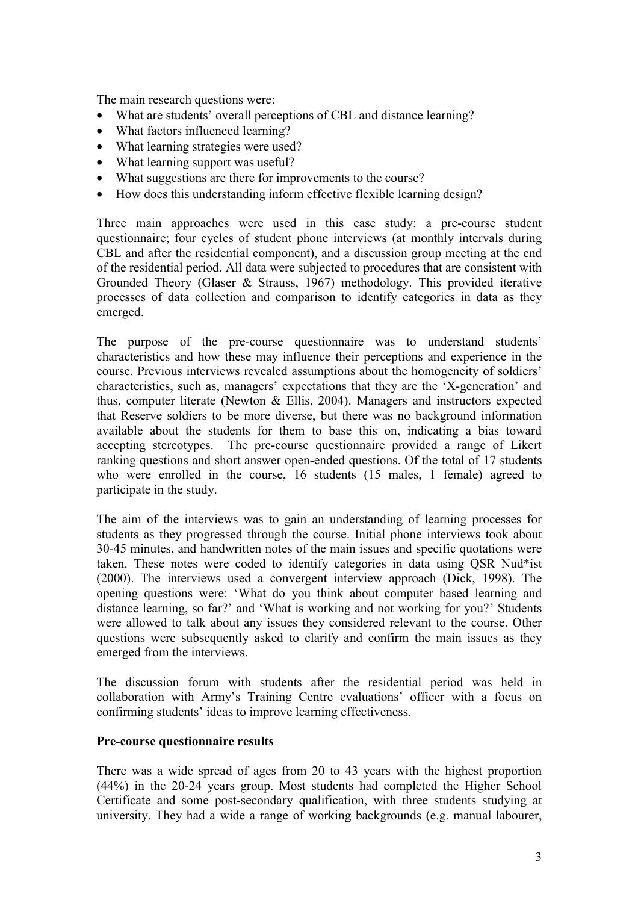The main research questions were:

- What are students' overall perceptions of CBL and distance learning?
- What factors influenced learning?
- What learning strategies were used?
- What learning support was useful?
- What suggestions are there for improvements to the course?
- How does this understanding inform effective flexible learning design?

Three main approaches were used in this case study: a pre-course student questionnaire; four cycles of student phone interviews (at monthly intervals during CBL and after the residential component), and a discussion group meeting at the end of the residential period. All data were subjected to procedures that are consistent with Grounded Theory (Glaser & Strauss, 1967) methodology. This provided iterative processes of data collection and comparison to identify categories in data as they emerged.

The purpose of the pre-course questionnaire was to understand students' characteristics and how these may influence their perceptions and experience in the course. Previous interviews revealed assumptions about the homogeneity of soldiers' characteristics, such as, managers' expectations that they are the 'X-generation' and thus, computer literate (Newton & Ellis, 2004). Managers and instructors expected that Reserve soldiers to be more diverse, but there was no background information available about the students for them to base this on, indicating a bias toward accepting stereotypes. The pre-course questionnaire provided a range of Likert ranking questions and short answer open-ended questions. Of the total of 17 students who were enrolled in the course, 16 students (15 males, 1 female) agreed to participate in the study.

The aim of the interviews was to gain an understanding of learning processes for students as they progressed through the course. Initial phone interviews took about 30-45 minutes, and handwritten notes of the main issues and specific quotations were taken. These notes were coded to identify categories in data using QSR Nud\*ist (2000). The interviews used a convergent interview approach (Dick, 1998). The opening questions were: 'What do you think about computer based learning and distance learning, so far?' and 'What is working and not working for you?' Students were allowed to talk about any issues they considered relevant to the course. Other questions were subsequently asked to clarify and confirm the main issues as they emerged from the interviews.

The discussion forum with students after the residential period was held in collaboration with Army's Training Centre evaluations' officer with a focus on confirming students' ideas to improve learning effectiveness.

#### **Pre-course questionnaire results**

There was a wide spread of ages from 20 to 43 years with the highest proportion (44%) in the 20-24 years group. Most students had completed the Higher School Certificate and some post-secondary qualification, with three students studying at university. They had a wide a range of working backgrounds (e.g. manual labourer,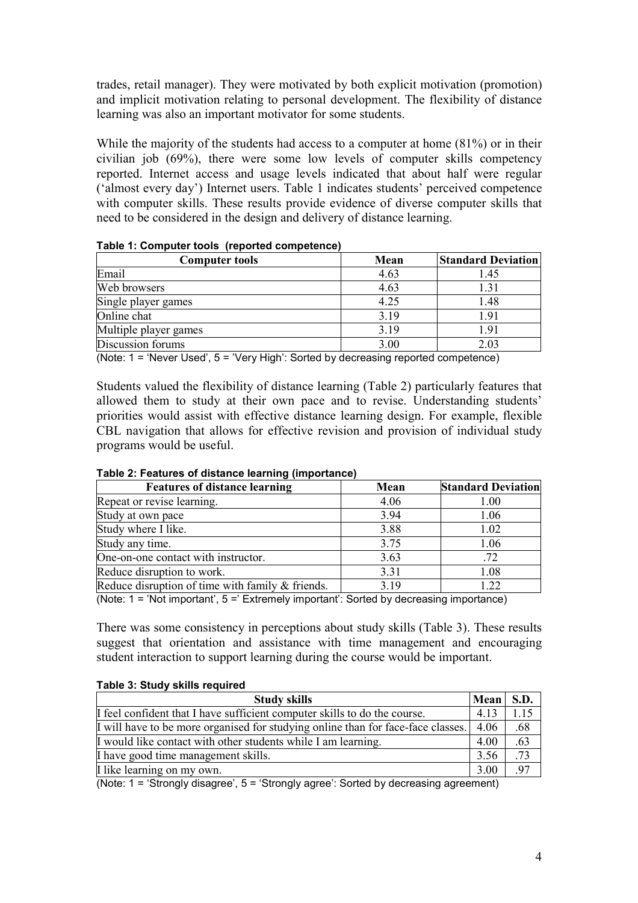trades, retail manager). They were motivated by both explicit motivation (promotion) and implicit motivation relating to personal development. The flexibility of distance learning was also an important motivator for some students.

While the majority of the students had access to a computer at home  $(81\%)$  or in their civilian job (69%), there were some low levels of computer skills competency reported. Internet access and usage levels indicated that about half were regular ('almost every day') Internet users. Table 1 indicates students' perceived competence with computer skills. These results provide evidence of diverse computer skills that need to be considered in the design and delivery of distance learning.

| <b>Computer tools</b> | Mean | <b>Standard Deviation</b> |
|-----------------------|------|---------------------------|
| Email                 | 4.63 | l.45                      |
| Web browsers          | 4.63 | .31                       |
| Single player games   | 4.25 | 1.48                      |
| Online chat           | 3.19 | 1.91                      |
| Multiple player games | 3.19 | 1.91                      |
| Discussion forums     | 3.00 | 2.03                      |

(Note: 1 = 'Never Used', 5 = 'Very High': Sorted by decreasing reported competence)

Students valued the flexibility of distance learning (Table 2) particularly features that allowed them to study at their own pace and to revise. Understanding students' priorities would assist with effective distance learning design. For example, flexible CBL navigation that allows for effective revision and provision of individual study programs would be useful.

| <b>Features of distance learning</b>             | Mean | <b>Standard Deviation</b> |
|--------------------------------------------------|------|---------------------------|
| Repeat or revise learning.                       | 4.06 | 1.00                      |
| Study at own pace                                | 3.94 | 1.06                      |
| Study where I like.                              | 3.88 | 1.02                      |
| Study any time.                                  | 3.75 | 1.06                      |
| One-on-one contact with instructor.              | 3.63 | .72                       |
| Reduce disruption to work.                       | 3.31 | 1.08                      |
| Reduce disruption of time with family & friends. | 3.19 | 1.22                      |

#### **Table 2: Features of distance learning (importance)**

(Note: 1 = 'Not important', 5 =' Extremely important': Sorted by decreasing importance)

There was some consistency in perceptions about study skills (Table 3). These results suggest that orientation and assistance with time management and encouraging student interaction to support learning during the course would be important.

#### **Table 3: Study skills required**

| <b>Study skills</b>                                                              |      | Mean<br>S.D. |
|----------------------------------------------------------------------------------|------|--------------|
| If feel confident that I have sufficient computer skills to do the course.       | 4.13 | l.15         |
| I will have to be more organised for studying online than for face-face classes. | 4.06 | .68          |
| I would like contact with other students while I am learning.                    | 4.00 | .63          |
| I have good time management skills.                                              | 3.56 | .73          |
| I like learning on my own.                                                       | 3.00 | .97          |

(Note: 1 = 'Strongly disagree', 5 = 'Strongly agree': Sorted by decreasing agreement)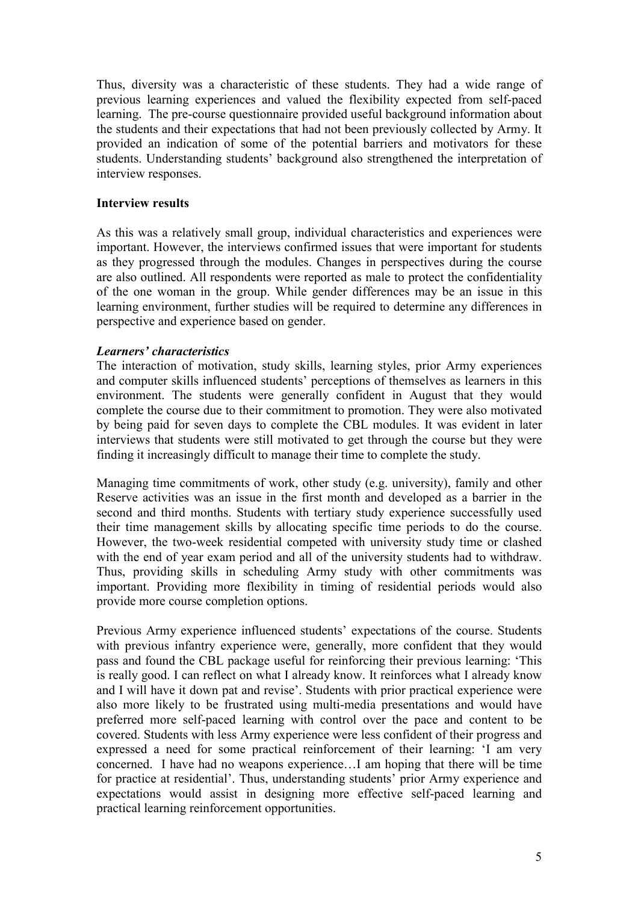Thus, diversity was a characteristic of these students. They had a wide range of previous learning experiences and valued the flexibility expected from self-paced learning. The pre-course questionnaire provided useful background information about the students and their expectations that had not been previously collected by Army. It provided an indication of some of the potential barriers and motivators for these students. Understanding students' background also strengthened the interpretation of interview responses.

# **Interview results**

As this was a relatively small group, individual characteristics and experiences were important. However, the interviews confirmed issues that were important for students as they progressed through the modules. Changes in perspectives during the course are also outlined. All respondents were reported as male to protect the confidentiality of the one woman in the group. While gender differences may be an issue in this learning environment, further studies will be required to determine any differences in perspective and experience based on gender.

# *Learners' characteristics*

The interaction of motivation, study skills, learning styles, prior Army experiences and computer skills influenced students' perceptions of themselves as learners in this environment. The students were generally confident in August that they would complete the course due to their commitment to promotion. They were also motivated by being paid for seven days to complete the CBL modules. It was evident in later interviews that students were still motivated to get through the course but they were finding it increasingly difficult to manage their time to complete the study.

Managing time commitments of work, other study (e.g. university), family and other Reserve activities was an issue in the first month and developed as a barrier in the second and third months. Students with tertiary study experience successfully used their time management skills by allocating specific time periods to do the course. However, the two-week residential competed with university study time or clashed with the end of year exam period and all of the university students had to withdraw. Thus, providing skills in scheduling Army study with other commitments was important. Providing more flexibility in timing of residential periods would also provide more course completion options.

Previous Army experience influenced students' expectations of the course. Students with previous infantry experience were, generally, more confident that they would pass and found the CBL package useful for reinforcing their previous learning: 'This is really good. I can reflect on what I already know. It reinforces what I already know and I will have it down pat and revise'. Students with prior practical experience were also more likely to be frustrated using multi-media presentations and would have preferred more self-paced learning with control over the pace and content to be covered. Students with less Army experience were less confident of their progress and expressed a need for some practical reinforcement of their learning: 'I am very concerned. I have had no weapons experience…I am hoping that there will be time for practice at residential'. Thus, understanding students' prior Army experience and expectations would assist in designing more effective self-paced learning and practical learning reinforcement opportunities.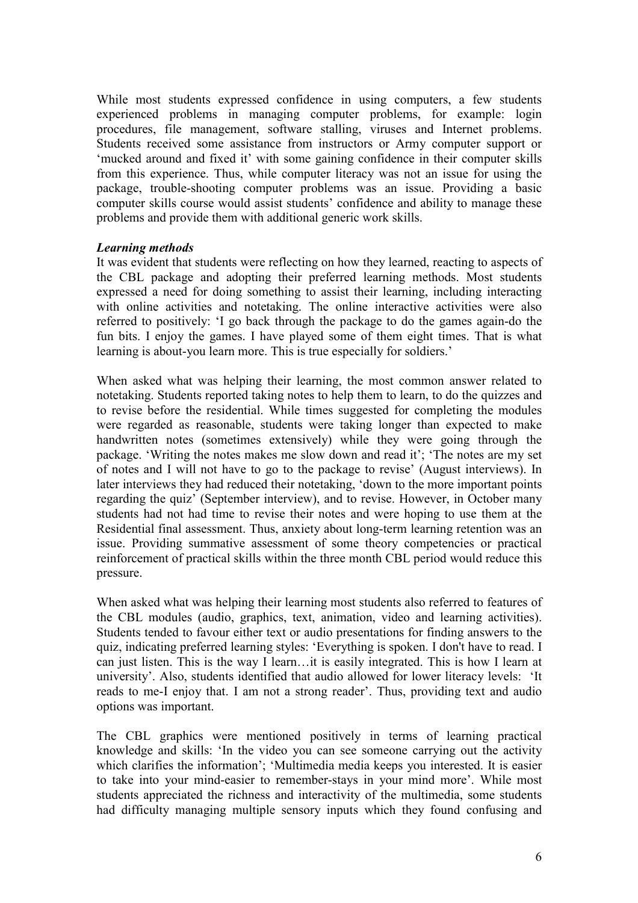While most students expressed confidence in using computers, a few students experienced problems in managing computer problems, for example: login procedures, file management, software stalling, viruses and Internet problems. Students received some assistance from instructors or Army computer support or 'mucked around and fixed it' with some gaining confidence in their computer skills from this experience. Thus, while computer literacy was not an issue for using the package, trouble-shooting computer problems was an issue. Providing a basic computer skills course would assist students' confidence and ability to manage these problems and provide them with additional generic work skills.

#### *Learning methods*

It was evident that students were reflecting on how they learned, reacting to aspects of the CBL package and adopting their preferred learning methods. Most students expressed a need for doing something to assist their learning, including interacting with online activities and notetaking. The online interactive activities were also referred to positively: 'I go back through the package to do the games again-do the fun bits. I enjoy the games. I have played some of them eight times. That is what learning is about-you learn more. This is true especially for soldiers.'

When asked what was helping their learning, the most common answer related to notetaking. Students reported taking notes to help them to learn, to do the quizzes and to revise before the residential. While times suggested for completing the modules were regarded as reasonable, students were taking longer than expected to make handwritten notes (sometimes extensively) while they were going through the package. 'Writing the notes makes me slow down and read it'; 'The notes are my set of notes and I will not have to go to the package to revise' (August interviews). In later interviews they had reduced their notetaking, 'down to the more important points regarding the quiz' (September interview), and to revise. However, in October many students had not had time to revise their notes and were hoping to use them at the Residential final assessment. Thus, anxiety about long-term learning retention was an issue. Providing summative assessment of some theory competencies or practical reinforcement of practical skills within the three month CBL period would reduce this pressure.

When asked what was helping their learning most students also referred to features of the CBL modules (audio, graphics, text, animation, video and learning activities). Students tended to favour either text or audio presentations for finding answers to the quiz, indicating preferred learning styles: 'Everything is spoken. I don't have to read. I can just listen. This is the way I learn…it is easily integrated. This is how I learn at university'. Also, students identified that audio allowed for lower literacy levels: 'It reads to me-I enjoy that. I am not a strong reader'. Thus, providing text and audio options was important.

The CBL graphics were mentioned positively in terms of learning practical knowledge and skills: 'In the video you can see someone carrying out the activity which clarifies the information'; 'Multimedia media keeps you interested. It is easier to take into your mind-easier to remember-stays in your mind more'. While most students appreciated the richness and interactivity of the multimedia, some students had difficulty managing multiple sensory inputs which they found confusing and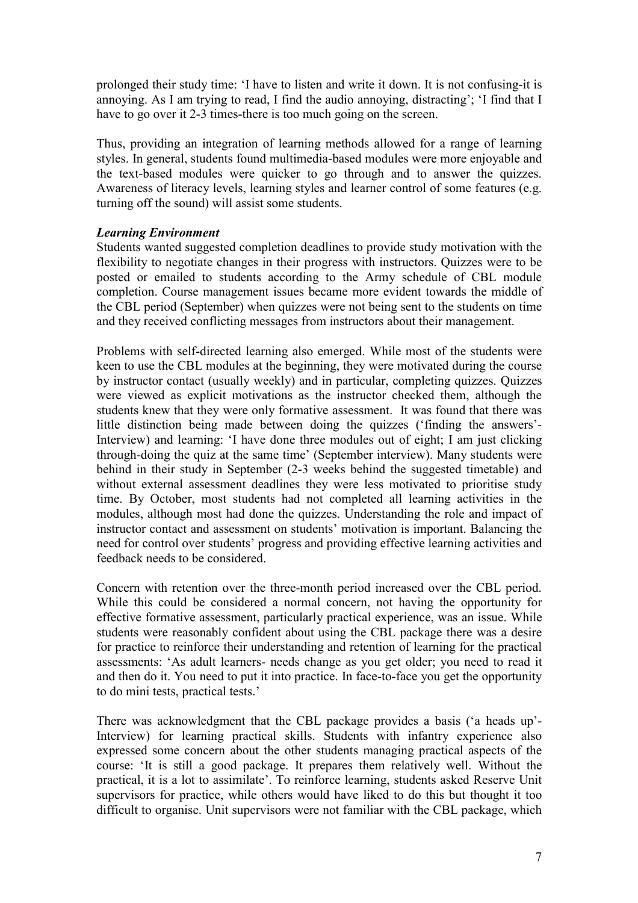prolonged their study time: 'I have to listen and write it down. It is not confusing-it is annoying. As I am trying to read, I find the audio annoying, distracting'; 'I find that I have to go over it 2-3 times-there is too much going on the screen.

Thus, providing an integration of learning methods allowed for a range of learning styles. In general, students found multimedia-based modules were more enjoyable and the text-based modules were quicker to go through and to answer the quizzes. Awareness of literacy levels, learning styles and learner control of some features (e.g. turning off the sound) will assist some students.

# *Learning Environment*

Students wanted suggested completion deadlines to provide study motivation with the flexibility to negotiate changes in their progress with instructors. Quizzes were to be posted or emailed to students according to the Army schedule of CBL module completion. Course management issues became more evident towards the middle of the CBL period (September) when quizzes were not being sent to the students on time and they received conflicting messages from instructors about their management.

Problems with self-directed learning also emerged. While most of the students were keen to use the CBL modules at the beginning, they were motivated during the course by instructor contact (usually weekly) and in particular, completing quizzes. Quizzes were viewed as explicit motivations as the instructor checked them, although the students knew that they were only formative assessment. It was found that there was little distinction being made between doing the quizzes ('finding the answers'- Interview) and learning: 'I have done three modules out of eight; I am just clicking through-doing the quiz at the same time' (September interview). Many students were behind in their study in September (2-3 weeks behind the suggested timetable) and without external assessment deadlines they were less motivated to prioritise study time. By October, most students had not completed all learning activities in the modules, although most had done the quizzes. Understanding the role and impact of instructor contact and assessment on students' motivation is important. Balancing the need for control over students' progress and providing effective learning activities and feedback needs to be considered.

Concern with retention over the three-month period increased over the CBL period. While this could be considered a normal concern, not having the opportunity for effective formative assessment, particularly practical experience, was an issue. While students were reasonably confident about using the CBL package there was a desire for practice to reinforce their understanding and retention of learning for the practical assessments: 'As adult learners- needs change as you get older; you need to read it and then do it. You need to put it into practice. In face-to-face you get the opportunity to do mini tests, practical tests.'

There was acknowledgment that the CBL package provides a basis ('a heads up'- Interview) for learning practical skills. Students with infantry experience also expressed some concern about the other students managing practical aspects of the course: 'It is still a good package. It prepares them relatively well. Without the practical, it is a lot to assimilate'. To reinforce learning, students asked Reserve Unit supervisors for practice, while others would have liked to do this but thought it too difficult to organise. Unit supervisors were not familiar with the CBL package, which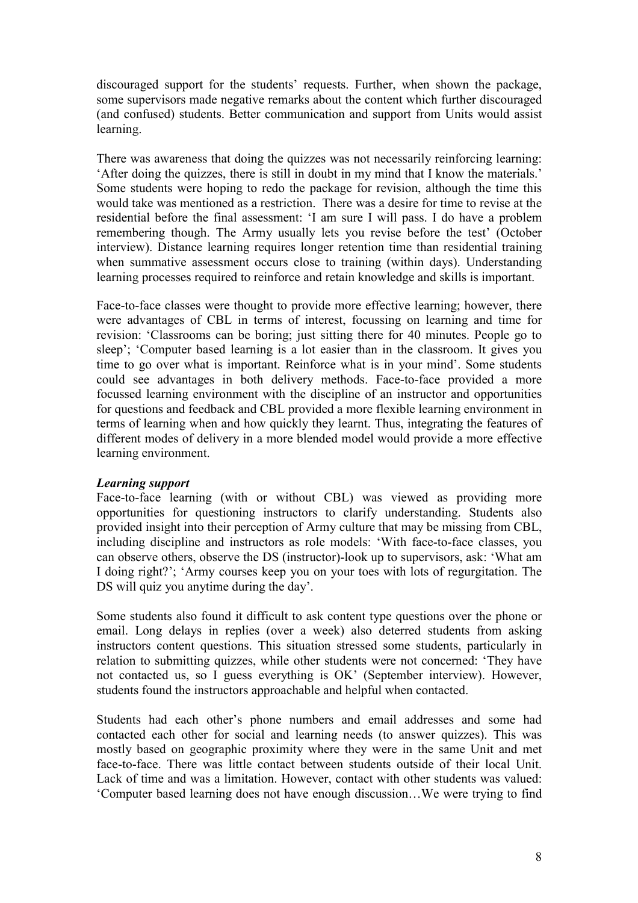discouraged support for the students' requests. Further, when shown the package, some supervisors made negative remarks about the content which further discouraged (and confused) students. Better communication and support from Units would assist learning.

There was awareness that doing the quizzes was not necessarily reinforcing learning: 'After doing the quizzes, there is still in doubt in my mind that I know the materials.' Some students were hoping to redo the package for revision, although the time this would take was mentioned as a restriction. There was a desire for time to revise at the residential before the final assessment: 'I am sure I will pass. I do have a problem remembering though. The Army usually lets you revise before the test' (October interview). Distance learning requires longer retention time than residential training when summative assessment occurs close to training (within days). Understanding learning processes required to reinforce and retain knowledge and skills is important.

Face-to-face classes were thought to provide more effective learning; however, there were advantages of CBL in terms of interest, focussing on learning and time for revision: 'Classrooms can be boring; just sitting there for 40 minutes. People go to sleep'; 'Computer based learning is a lot easier than in the classroom. It gives you time to go over what is important. Reinforce what is in your mind'. Some students could see advantages in both delivery methods. Face-to-face provided a more focussed learning environment with the discipline of an instructor and opportunities for questions and feedback and CBL provided a more flexible learning environment in terms of learning when and how quickly they learnt. Thus, integrating the features of different modes of delivery in a more blended model would provide a more effective learning environment.

# *Learning support*

Face-to-face learning (with or without CBL) was viewed as providing more opportunities for questioning instructors to clarify understanding. Students also provided insight into their perception of Army culture that may be missing from CBL, including discipline and instructors as role models: 'With face-to-face classes, you can observe others, observe the DS (instructor)-look up to supervisors, ask: 'What am I doing right?'; 'Army courses keep you on your toes with lots of regurgitation. The DS will quiz you anytime during the day'.

Some students also found it difficult to ask content type questions over the phone or email. Long delays in replies (over a week) also deterred students from asking instructors content questions. This situation stressed some students, particularly in relation to submitting quizzes, while other students were not concerned: 'They have not contacted us, so I guess everything is OK' (September interview). However, students found the instructors approachable and helpful when contacted.

Students had each other's phone numbers and email addresses and some had contacted each other for social and learning needs (to answer quizzes). This was mostly based on geographic proximity where they were in the same Unit and met face-to-face. There was little contact between students outside of their local Unit. Lack of time and was a limitation. However, contact with other students was valued: 'Computer based learning does not have enough discussion…We were trying to find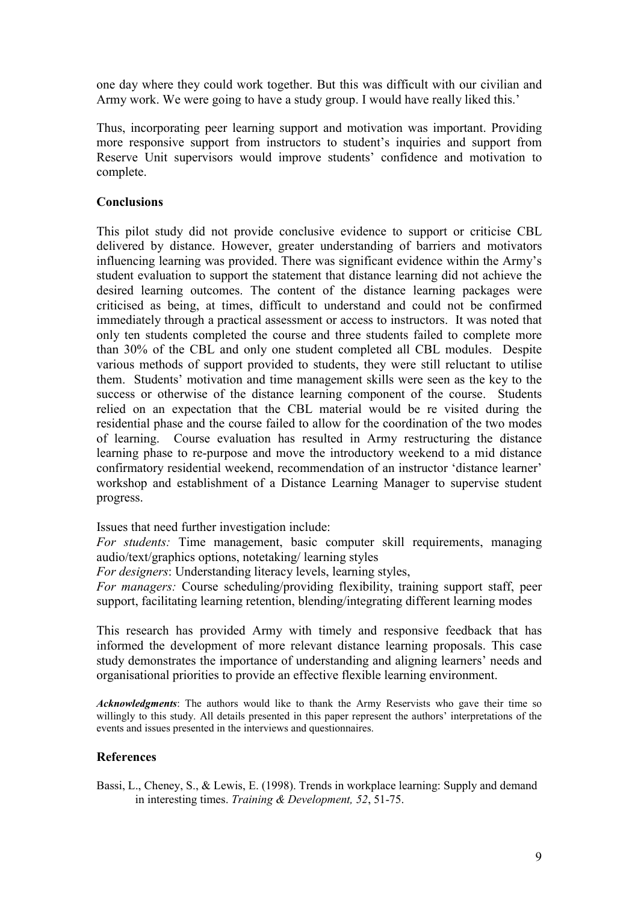one day where they could work together. But this was difficult with our civilian and Army work. We were going to have a study group. I would have really liked this.'

Thus, incorporating peer learning support and motivation was important. Providing more responsive support from instructors to student's inquiries and support from Reserve Unit supervisors would improve students' confidence and motivation to complete.

# **Conclusions**

This pilot study did not provide conclusive evidence to support or criticise CBL delivered by distance. However, greater understanding of barriers and motivators influencing learning was provided. There was significant evidence within the Army's student evaluation to support the statement that distance learning did not achieve the desired learning outcomes. The content of the distance learning packages were criticised as being, at times, difficult to understand and could not be confirmed immediately through a practical assessment or access to instructors. It was noted that only ten students completed the course and three students failed to complete more than 30% of the CBL and only one student completed all CBL modules. Despite various methods of support provided to students, they were still reluctant to utilise them. Students' motivation and time management skills were seen as the key to the success or otherwise of the distance learning component of the course. Students relied on an expectation that the CBL material would be re visited during the residential phase and the course failed to allow for the coordination of the two modes of learning. Course evaluation has resulted in Army restructuring the distance learning phase to re-purpose and move the introductory weekend to a mid distance confirmatory residential weekend, recommendation of an instructor 'distance learner' workshop and establishment of a Distance Learning Manager to supervise student progress.

Issues that need further investigation include:

*For students:* Time management, basic computer skill requirements, managing audio/text/graphics options, notetaking/ learning styles

*For designers*: Understanding literacy levels, learning styles,

*For managers:* Course scheduling/providing flexibility, training support staff, peer support, facilitating learning retention, blending/integrating different learning modes

This research has provided Army with timely and responsive feedback that has informed the development of more relevant distance learning proposals. This case study demonstrates the importance of understanding and aligning learners' needs and organisational priorities to provide an effective flexible learning environment.

*Acknowledgments*: The authors would like to thank the Army Reservists who gave their time so willingly to this study. All details presented in this paper represent the authors' interpretations of the events and issues presented in the interviews and questionnaires.

#### **References**

Bassi, L., Cheney, S., & Lewis, E. (1998). Trends in workplace learning: Supply and demand in interesting times. *Training & Development, 52*, 51-75.